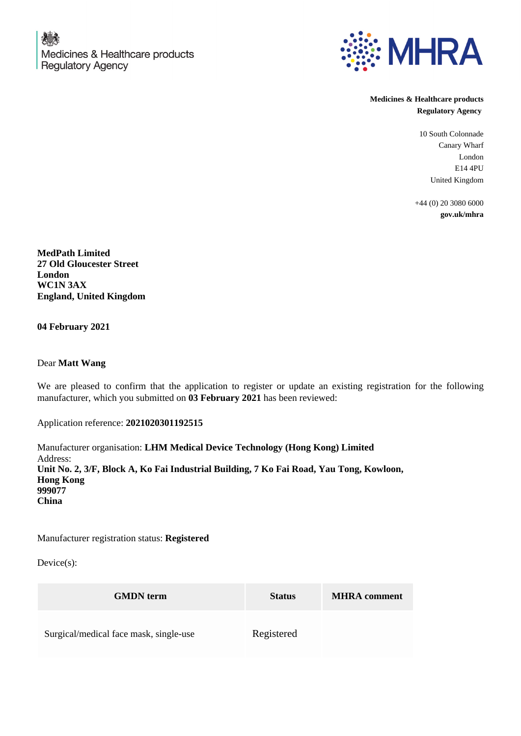

**Medicines & Healthcare products Regulatory Agency**

> 10 South Colonnade Canary Wharf London E14 4PU United Kingdom

+44 (0) 20 3080 6000 **gov.uk/mhra**

**MedPath Limited 27 Old Gloucester Street London WC1N 3AX England, United Kingdom**

**04 February 2021**

Dear **Matt Wang**

We are pleased to confirm that the application to register or update an existing registration for the following manufacturer, which you submitted on **03 February 2021** has been reviewed:

Application reference: **2021020301192515**

Manufacturer organisation: **LHM Medical Device Technology (Hong Kong) Limited** Address: **Unit No. 2, 3/F, Block A, Ko Fai Industrial Building, 7 Ko Fai Road, Yau Tong, Kowloon, Hong Kong 999077 China**

Manufacturer registration status: **Registered**

Device(s):

| <b>GMDN</b> term                       | <b>Status</b> | <b>MHRA</b> comment |
|----------------------------------------|---------------|---------------------|
| Surgical/medical face mask, single-use | Registered    |                     |